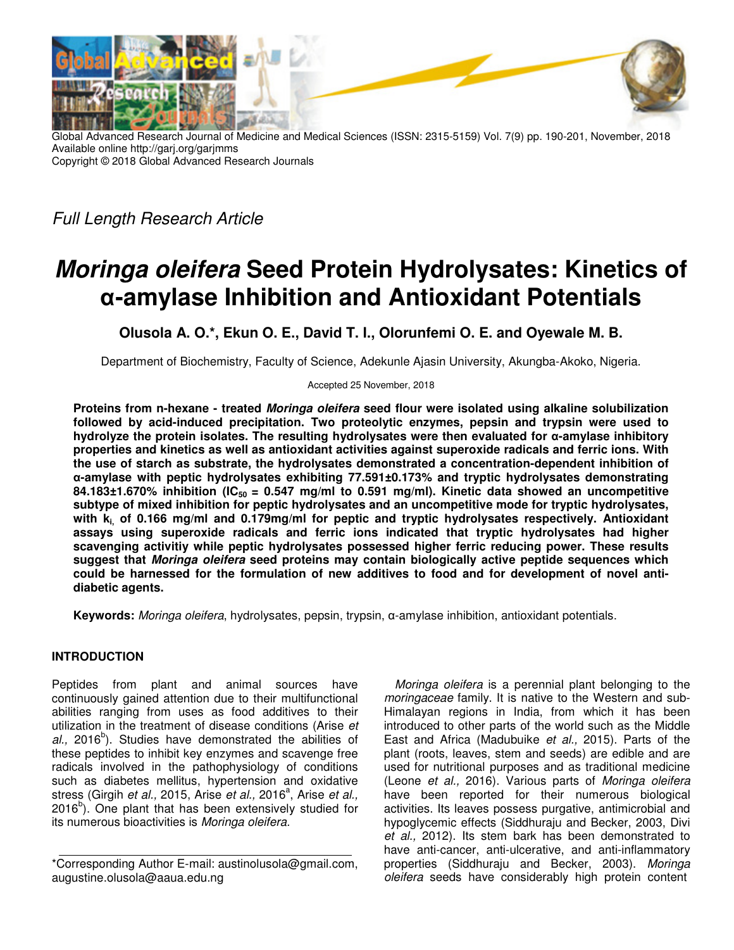

Global Advanced Research Journal of Medicine and Medical Sciences (ISSN: 2315-5159) Vol. 7(9) pp. 190-201, November, 2018 Available online http://garj.org/garjmms Copyright © 2018 Global Advanced Research Journals

*Full Length Research Article* 

# **Moringa oleifera Seed Protein Hydrolysates: Kinetics of α-amylase Inhibition and Antioxidant Potentials**

**Olusola A. O.\*, Ekun O. E., David T. I., Olorunfemi O. E. and Oyewale M. B.**

Department of Biochemistry, Faculty of Science, Adekunle Ajasin University, Akungba-Akoko, Nigeria.

Accepted 25 November, 2018

**Proteins from n-hexane - treated Moringa oleifera seed flour were isolated using alkaline solubilization followed by acid-induced precipitation. Two proteolytic enzymes, pepsin and trypsin were used to hydrolyze the protein isolates. The resulting hydrolysates were then evaluated for α-amylase inhibitory properties and kinetics as well as antioxidant activities against superoxide radicals and ferric ions. With the use of starch as substrate, the hydrolysates demonstrated a concentration-dependent inhibition of α-amylase with peptic hydrolysates exhibiting 77.591±0.173% and tryptic hydrolysates demonstrating 84.183±1.670% inhibition (IC50 = 0.547 mg/ml to 0.591 mg/ml). Kinetic data showed an uncompetitive subtype of mixed inhibition for peptic hydrolysates and an uncompetitive mode for tryptic hydrolysates, with ki, of 0.166 mg/ml and 0.179mg/ml for peptic and tryptic hydrolysates respectively. Antioxidant assays using superoxide radicals and ferric ions indicated that tryptic hydrolysates had higher scavenging activitiy while peptic hydrolysates possessed higher ferric reducing power. These results suggest that Moringa oleifera seed proteins may contain biologically active peptide sequences which could be harnessed for the formulation of new additives to food and for development of novel antidiabetic agents.** 

**Keywords:** *Moringa oleifera*, hydrolysates, pepsin, trypsin, α-amylase inhibition, antioxidant potentials.

## **INTRODUCTION**

Peptides from plant and animal sources have continuously gained attention due to their multifunctional abilities ranging from uses as food additives to their utilization in the treatment of disease conditions (Arise *et*  al., 2016<sup>b</sup>). Studies have demonstrated the abilities of these peptides to inhibit key enzymes and scavenge free radicals involved in the pathophysiology of conditions such as diabetes mellitus, hypertension and oxidative stress (Girgih *et al.,* 2015, Arise *et al.,* 2016<sup>a</sup> , Arise *et al.,*  $2016<sup>b</sup>$ ). One plant that has been extensively studied for its numerous bioactivities is *Moringa oleifera.* 

*Moringa oleifera* is a perennial plant belonging to the *moringaceae* family. It is native to the Western and sub-Himalayan regions in India, from which it has been introduced to other parts of the world such as the Middle East and Africa (Madubuike *et al.,* 2015). Parts of the plant (roots, leaves, stem and seeds) are edible and are used for nutritional purposes and as traditional medicine (Leone *et al.,* 2016). Various parts of *Moringa oleifera* have been reported for their numerous biological activities. Its leaves possess purgative, antimicrobial and hypoglycemic effects (Siddhuraju and Becker, 2003, Divi *et al.,* 2012). Its stem bark has been demonstrated to have anti-cancer, anti-ulcerative, and anti-inflammatory properties (Siddhuraju and Becker, 2003). *Moringa oleifera* seeds have considerably high protein content

<sup>\*</sup>Corresponding Author E-mail: austinolusola@gmail.com, augustine.olusola@aaua.edu.ng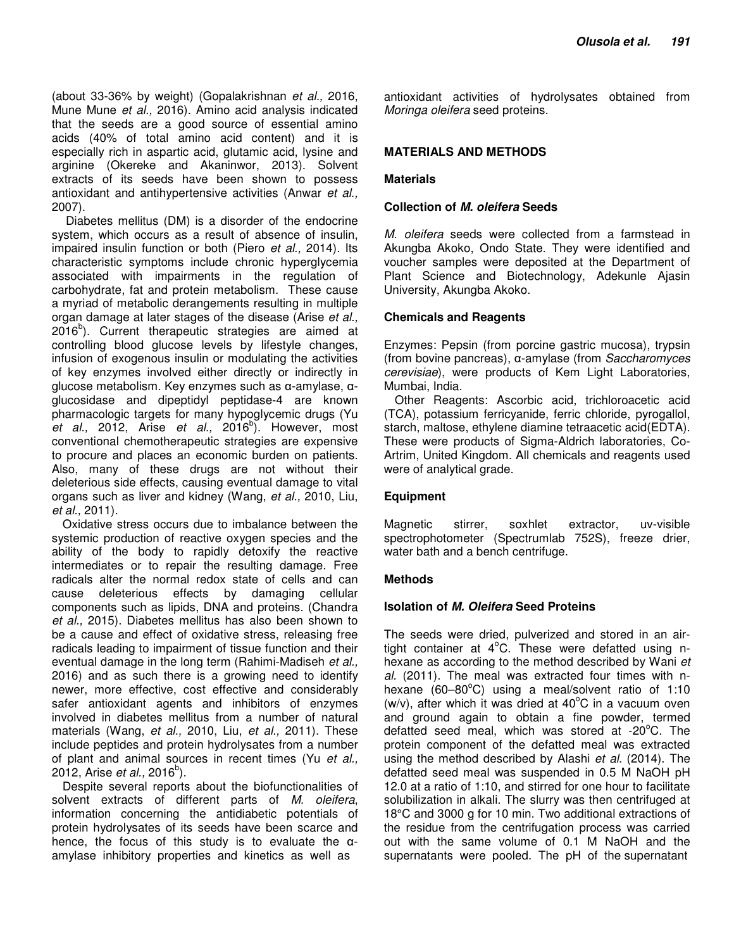(about 33-36% by weight) (Gopalakrishnan *et al.,* 2016, Mune Mune *et al.,* 2016). Amino acid analysis indicated that the seeds are a good source of essential amino acids (40% of total amino acid content) and it is especially rich in aspartic acid, glutamic acid, lysine and arginine (Okereke and Akaninwor, 2013). Solvent extracts of its seeds have been shown to possess antioxidant and antihypertensive activities (Anwar *et al.,* 2007).

 Diabetes mellitus (DM) is a disorder of the endocrine system, which occurs as a result of absence of insulin, impaired insulin function or both (Piero *et al.,* 2014). Its characteristic symptoms include chronic hyperglycemia associated with impairments in the regulation of carbohydrate, fat and protein metabolism. These cause a myriad of metabolic derangements resulting in multiple organ damage at later stages of the disease (Arise *et al.,* 2016<sup>b</sup>). Current therapeutic strategies are aimed at controlling blood glucose levels by lifestyle changes, infusion of exogenous insulin or modulating the activities of key enzymes involved either directly or indirectly in glucose metabolism. Key enzymes such as α-amylase, αglucosidase and dipeptidyl peptidase-4 are known pharmacologic targets for many hypoglycemic drugs (Yu et al., 2012, Arise et al., 2016<sup>b</sup>). However, most conventional chemotherapeutic strategies are expensive to procure and places an economic burden on patients. Also, many of these drugs are not without their deleterious side effects, causing eventual damage to vital organs such as liver and kidney (Wang, *et al.,* 2010, Liu, *et al.,* 2011).

Oxidative stress occurs due to imbalance between the systemic production of reactive oxygen species and the ability of the body to rapidly detoxify the reactive intermediates or to repair the resulting damage. Free radicals alter the normal redox state of cells and can cause deleterious effects by damaging cellular components such as lipids, DNA and proteins. (Chandra *et al.,* 2015). Diabetes mellitus has also been shown to be a cause and effect of oxidative stress, releasing free radicals leading to impairment of tissue function and their eventual damage in the long term (Rahimi-Madiseh *et al.,* 2016) and as such there is a growing need to identify newer, more effective, cost effective and considerably safer antioxidant agents and inhibitors of enzymes involved in diabetes mellitus from a number of natural materials (Wang, *et al.,* 2010, Liu, *et al.,* 2011). These include peptides and protein hydrolysates from a number of plant and animal sources in recent times (Yu *et al.,* 2012, Arise *et al.,* 2016<sup>b</sup>).

Despite several reports about the biofunctionalities of solvent extracts of different parts of *M. oleifera*, information concerning the antidiabetic potentials of protein hydrolysates of its seeds have been scarce and hence, the focus of this study is to evaluate the  $\alpha$ amylase inhibitory properties and kinetics as well as

antioxidant activities of hydrolysates obtained from *Moringa oleifera* seed proteins.

## **MATERIALS AND METHODS**

#### **Materials**

#### **Collection of M. oleifera Seeds**

*M. oleifera* seeds were collected from a farmstead in Akungba Akoko, Ondo State. They were identified and voucher samples were deposited at the Department of Plant Science and Biotechnology, Adekunle Ajasin University, Akungba Akoko.

#### **Chemicals and Reagents**

Enzymes: Pepsin (from porcine gastric mucosa), trypsin (from bovine pancreas), α-amylase (from *Saccharomyces cerevisiae*), were products of Kem Light Laboratories, Mumbai, India.

Other Reagents: Ascorbic acid, trichloroacetic acid (TCA), potassium ferricyanide, ferric chloride, pyrogallol, starch, maltose, ethylene diamine tetraacetic acid(EDTA). These were products of Sigma-Aldrich laboratories, Co-Artrim, United Kingdom. All chemicals and reagents used were of analytical grade.

## **Equipment**

Magnetic stirrer, soxhlet extractor, uv-visible spectrophotometer (Spectrumlab 752S), freeze drier, water bath and a bench centrifuge.

## **Methods**

#### **Isolation of M. Oleifera Seed Proteins**

The seeds were dried, pulverized and stored in an airtight container at  $4^{\circ}$ C. These were defatted using nhexane as according to the method described by Wani *et al.* (2011). The meal was extracted four times with nhexane (60–80 $^{\circ}$ C) using a meal/solvent ratio of 1:10 (w/v), after which it was dried at  $40^{\circ}$ C in a vacuum oven and ground again to obtain a fine powder, termed defatted seed meal, which was stored at -20 $^{\circ}$ C. The protein component of the defatted meal was extracted using the method described by Alashi *et al.* (2014). The defatted seed meal was suspended in 0.5 M NaOH pH 12.0 at a ratio of 1:10, and stirred for one hour to facilitate solubilization in alkali. The slurry was then centrifuged at 18°C and 3000 g for 10 min. Two additional extractions of the residue from the centrifugation process was carried out with the same volume of 0.1 M NaOH and the supernatants were pooled. The pH of the supernatant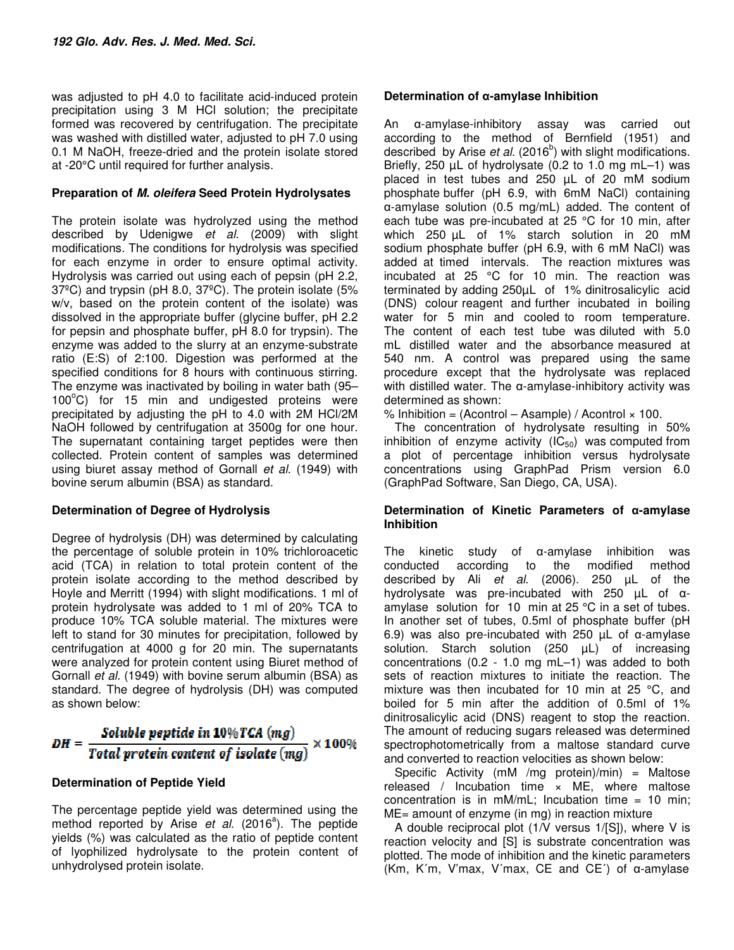was adjusted to pH 4.0 to facilitate acid-induced protein precipitation using 3 M HCl solution; the precipitate formed was recovered by centrifugation. The precipitate was washed with distilled water, adjusted to pH 7.0 using 0.1 M NaOH, freeze-dried and the protein isolate stored at -20°C until required for further analysis.

## **Preparation of M. oleifera Seed Protein Hydrolysates**

The protein isolate was hydrolyzed using the method described by Udenigwe *et al.* (2009) with slight modifications. The conditions for hydrolysis was specified for each enzyme in order to ensure optimal activity. Hydrolysis was carried out using each of pepsin (pH 2.2, 37ºC) and trypsin (pH 8.0, 37ºC). The protein isolate (5% w/v, based on the protein content of the isolate) was dissolved in the appropriate buffer (glycine buffer, pH 2.2 for pepsin and phosphate buffer, pH 8.0 for trypsin). The enzyme was added to the slurry at an enzyme-substrate ratio (E:S) of 2:100. Digestion was performed at the specified conditions for 8 hours with continuous stirring. The enzyme was inactivated by boiling in water bath (95–  $100^{\circ}$ C) for 15 min and undigested proteins were precipitated by adjusting the pH to 4.0 with 2M HCl/2M NaOH followed by centrifugation at 3500g for one hour. The supernatant containing target peptides were then collected. Protein content of samples was determined using biuret assay method of Gornall *et al*. (1949) with bovine serum albumin (BSA) as standard.

## **Determination of Degree of Hydrolysis**

Degree of hydrolysis (DH) was determined by calculating the percentage of soluble protein in 10% trichloroacetic acid (TCA) in relation to total protein content of the protein isolate according to the method described by Hoyle and Merritt (1994) with slight modifications. 1 ml of protein hydrolysate was added to 1 ml of 20% TCA to produce 10% TCA soluble material. The mixtures were left to stand for 30 minutes for precipitation, followed by centrifugation at 4000 g for 20 min. The supernatants were analyzed for protein content using Biuret method of Gornall *et al.* (1949) with bovine serum albumin (BSA) as standard. The degree of hydrolysis (DH) was computed as shown below:

## $DH = \frac{Soluble\ peptide\ in\ 10\% TCA\ (mg)}{Total\ protein\ content\ of\ isolate\ (mg)}$  $\times 100\%$

## **Determination of Peptide Yield**

The percentage peptide yield was determined using the method reported by Arise et al. (2016<sup>a</sup>). The peptide yields (%) was calculated as the ratio of peptide content of lyophilized hydrolysate to the protein content of unhydrolysed protein isolate.

## **Determination of α-amylase Inhibition**

An α-amylase-inhibitory assay was carried out according to the method of Bernfield (1951) and described by Arise et al. (2016<sup>b</sup>) with slight modifications. Briefly, 250 µL of hydrolysate (0.2 to 1.0 mg mL–1) was placed in test tubes and 250 µL of 20 mM sodium phosphate buffer (pH 6.9, with 6mM NaCl) containing α-amylase solution (0.5 mg/mL) added. The content of each tube was pre-incubated at 25 °C for 10 min, after which 250 µL of 1% starch solution in 20 mM sodium phosphate buffer (pH 6.9, with 6 mM NaCl) was added at timed intervals. The reaction mixtures was incubated at 25 °C for 10 min. The reaction was terminated by adding 250µL of 1% dinitrosalicylic acid (DNS) colour reagent and further incubated in boiling water for 5 min and cooled to room temperature. The content of each test tube was diluted with 5.0 mL distilled water and the absorbance measured at 540 nm. A control was prepared using the same procedure except that the hydrolysate was replaced with distilled water. The α-amylase-inhibitory activity was determined as shown:

% Inhibition =  $(Acontrol - Asample) / Acontrol \times 100$ .

The concentration of hydrolysate resulting in 50% inhibition of enzyme activity  $(IC_{50})$  was computed from a plot of percentage inhibition versus hydrolysate concentrations using GraphPad Prism version 6.0 (GraphPad Software, San Diego, CA, USA).

## **Determination of Kinetic Parameters of α-amylase Inhibition**

The kinetic study of α-amylase inhibition was conducted according to the modified method described by Ali *et al.* (2006). 250 µL of the hydrolysate was pre-incubated with 250 µL of αamylase solution for 10 min at 25 °C in a set of tubes. In another set of tubes, 0.5ml of phosphate buffer (pH 6.9) was also pre-incubated with 250 µL of α-amylase solution. Starch solution (250 µL) of increasing concentrations (0.2 - 1.0 mg mL–1) was added to both sets of reaction mixtures to initiate the reaction. The mixture was then incubated for 10 min at 25 °C, and boiled for 5 min after the addition of 0.5ml of 1% dinitrosalicylic acid (DNS) reagent to stop the reaction. The amount of reducing sugars released was determined spectrophotometrically from a maltose standard curve and converted to reaction velocities as shown below:

Specific Activity (mM /mg protein)/min) = Maltose released / Incubation time  $\times$  ME, where maltose concentration is in  $mM/mL$ ; Incubation time = 10 min; ME= amount of enzyme (in mg) in reaction mixture

A double reciprocal plot (1/V versus 1/[S]), where V is reaction velocity and [S] is substrate concentration was plotted. The mode of inhibition and the kinetic parameters (Km, K΄m, V'max, V΄max, CE and CE΄) of α-amylase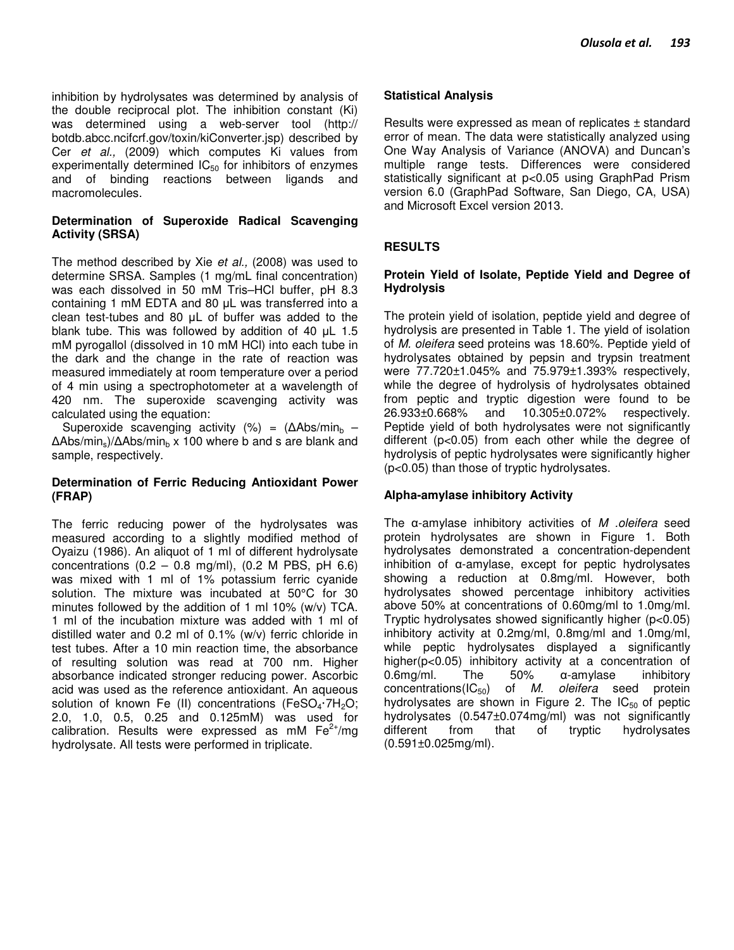inhibition by hydrolysates was determined by analysis of the double reciprocal plot. The inhibition constant (Ki) was determined using a web-server tool (http:// botdb.abcc.ncifcrf.gov/toxin/kiConverter.jsp) described by Cer *et al.,* (2009) which computes Ki values from experimentally determined  $IC_{50}$  for inhibitors of enzymes and of binding reactions between ligands and macromolecules.

## **Determination of Superoxide Radical Scavenging Activity (SRSA)**

The method described by Xie *et al.,* (2008) was used to determine SRSA. Samples (1 mg/mL final concentration) was each dissolved in 50 mM Tris–HCl buffer, pH 8.3 containing 1 mM EDTA and 80 µL was transferred into a clean test-tubes and 80 µL of buffer was added to the blank tube. This was followed by addition of 40 µL 1.5 mM pyrogallol (dissolved in 10 mM HCl) into each tube in the dark and the change in the rate of reaction was measured immediately at room temperature over a period of 4 min using a spectrophotometer at a wavelength of 420 nm. The superoxide scavenging activity was calculated using the equation:

Superoxide scavenging activity (%) =  $(\Delta Abs/min_b -$ ∆Abs/min<sub>s</sub>)/∆Abs/min<sub>b</sub> x 100 where b and s are blank and sample, respectively.

## **Determination of Ferric Reducing Antioxidant Power (FRAP)**

The ferric reducing power of the hydrolysates was measured according to a slightly modified method of Oyaizu (1986). An aliquot of 1 ml of different hydrolysate concentrations  $(0.2 - 0.8 \text{ mg/ml})$ ,  $(0.2 \text{ M PBS}, \text{ pH } 6.6)$ was mixed with 1 ml of 1% potassium ferric cyanide solution. The mixture was incubated at 50°C for 30 minutes followed by the addition of 1 ml 10% (w/v) TCA. 1 ml of the incubation mixture was added with 1 ml of distilled water and 0.2 ml of 0.1% (w/v) ferric chloride in test tubes. After a 10 min reaction time, the absorbance of resulting solution was read at 700 nm. Higher absorbance indicated stronger reducing power. Ascorbic acid was used as the reference antioxidant. An aqueous solution of known Fe (II) concentrations (FeSO<sub>4</sub> $-7H<sub>2</sub>O$ ; 2.0, 1.0, 0.5, 0.25 and 0.125mM) was used for calibration. Results were expressed as mM  $Fe<sup>2+</sup>/mq$ hydrolysate. All tests were performed in triplicate.

## **Statistical Analysis**

Results were expressed as mean of replicates ± standard error of mean. The data were statistically analyzed using One Way Analysis of Variance (ANOVA) and Duncan's multiple range tests. Differences were considered statistically significant at p<0.05 using GraphPad Prism version 6.0 (GraphPad Software, San Diego, CA, USA) and Microsoft Excel version 2013.

## **RESULTS**

## **Protein Yield of Isolate, Peptide Yield and Degree of Hydrolysis**

The protein yield of isolation, peptide yield and degree of hydrolysis are presented in Table 1. The yield of isolation of *M. oleifera* seed proteins was 18.60%. Peptide yield of hydrolysates obtained by pepsin and trypsin treatment were 77.720±1.045% and 75.979±1.393% respectively, while the degree of hydrolysis of hydrolysates obtained from peptic and tryptic digestion were found to be 26.933±0.668% and 10.305±0.072% respectively. Peptide yield of both hydrolysates were not significantly different (p<0.05) from each other while the degree of hydrolysis of peptic hydrolysates were significantly higher (p<0.05) than those of tryptic hydrolysates.

## **Alpha-amylase inhibitory Activity**

The α-amylase inhibitory activities of *M .oleifera* seed protein hydrolysates are shown in Figure 1. Both hydrolysates demonstrated a concentration-dependent inhibition of α-amylase, except for peptic hydrolysates showing a reduction at 0.8mg/ml. However, both hydrolysates showed percentage inhibitory activities above 50% at concentrations of 0.60mg/ml to 1.0mg/ml. Tryptic hydrolysates showed significantly higher (p<0.05) inhibitory activity at 0.2mg/ml, 0.8mg/ml and 1.0mg/ml, while peptic hydrolysates displayed a significantly higher(p<0.05) inhibitory activity at a concentration of 0.6mg/ml. The 50% α-amylase inhibitory concentrations(IC50) of *M. oleifera* seed protein hydrolysates are shown in Figure 2. The  $IC_{50}$  of peptic hydrolysates (0.547±0.074mg/ml) was not significantly different from that of tryptic hydrolysates (0.591±0.025mg/ml).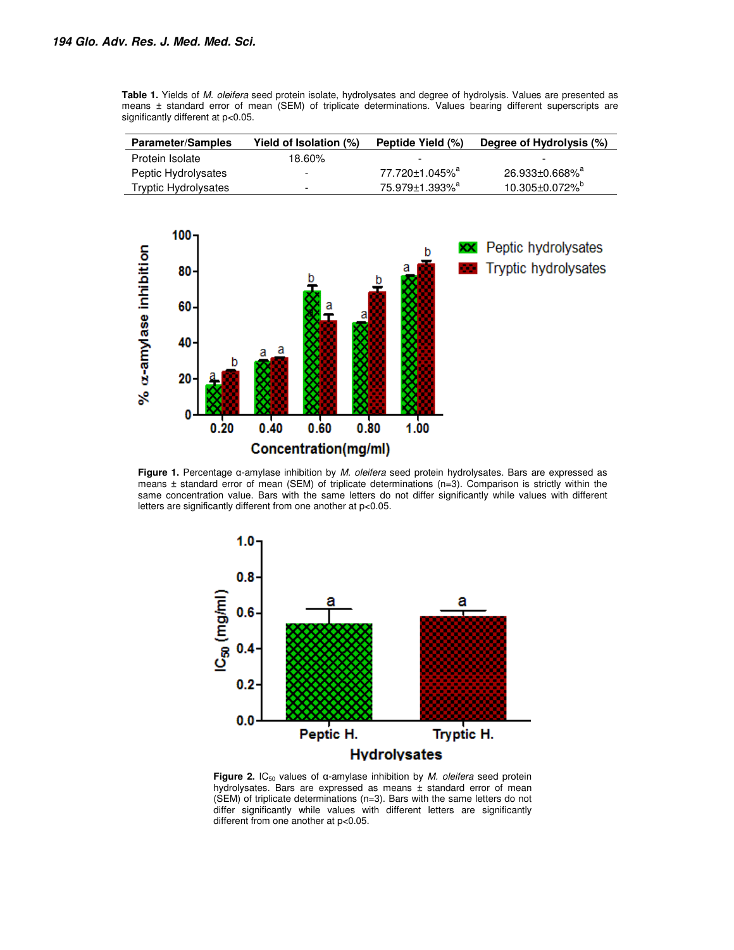**Table 1.** Yields of *M. oleifera* seed protein isolate, hydrolysates and degree of hydrolysis. Values are presented as means ± standard error of mean (SEM) of triplicate determinations. Values bearing different superscripts are significantly different at p<0.05.

| <b>Parameter/Samples</b>    | Yield of Isolation (%)   | Peptide Yield (%)          | Degree of Hydrolysis (%)          |  |
|-----------------------------|--------------------------|----------------------------|-----------------------------------|--|
| Protein Isolate             | 18.60%                   | $\overline{\phantom{0}}$   | $\overline{\phantom{0}}$          |  |
| Peptic Hydrolysates         | $\overline{\phantom{a}}$ | 77.720±1.045% <sup>a</sup> | $26.933 \pm 0.668\%$ <sup>a</sup> |  |
| <b>Tryptic Hydrolysates</b> | -                        | 75.979±1.393% <sup>a</sup> | $10.305 \pm 0.072\%$ <sup>p</sup> |  |



**Figure 1.** Percentage α-amylase inhibition by *M. oleifera* seed protein hydrolysates. Bars are expressed as means  $\pm$  standard error of mean (SEM) of triplicate determinations (n=3). Comparison is strictly within the same concentration value. Bars with the same letters do not differ significantly while values with different letters are significantly different from one another at p<0.05.



Figure 2. IC<sub>50</sub> values of α-amylase inhibition by *M. oleifera* seed protein hydrolysates. Bars are expressed as means ± standard error of mean (SEM) of triplicate determinations (n=3). Bars with the same letters do not differ significantly while values with different letters are significantly different from one another at p<0.05.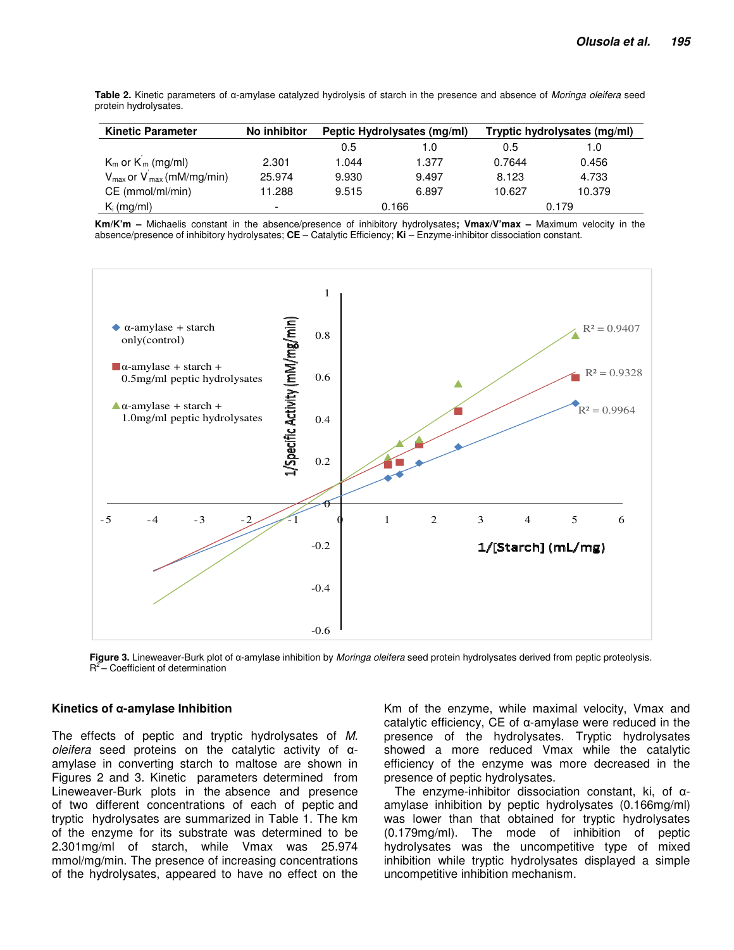**Table 2.** Kinetic parameters of α-amylase catalyzed hydrolysis of starch in the presence and absence of *Moringa oleifera* seed protein hydrolysates.

| <b>Kinetic Parameter</b>                         | No inhibitor             | Peptic Hydrolysates (mg/ml) |       | Tryptic hydrolysates (mg/ml) |        |
|--------------------------------------------------|--------------------------|-----------------------------|-------|------------------------------|--------|
|                                                  |                          | 0.5                         | 1.0   | 0.5                          | 1.0    |
| $K_m$ or $K_m$ (mg/ml)                           | 2.301                    | 1.044                       | 1.377 | 0.7644                       | 0.456  |
| $V_{\text{max}}$ or $V_{\text{max}}$ (mM/mg/min) | 25.974                   | 9.930                       | 9.497 | 8.123                        | 4.733  |
| CE (mmol/ml/min)                                 | 11.288                   | 9.515                       | 6.897 | 10.627                       | 10.379 |
| $K_i$ (mg/ml)                                    | $\overline{\phantom{a}}$ | 0.166                       |       | 0.179                        |        |

**Km/K'm –** Michaelis constant in the absence/presence of inhibitory hydrolysates**; Vmax/V'max –** Maximum velocity in the absence/presence of inhibitory hydrolysates; **CE** – Catalytic Efficiency; **Ki** – Enzyme-inhibitor dissociation constant.



**Figure 3.** Lineweaver-Burk plot of α-amylase inhibition by *Moringa oleifera* seed protein hydrolysates derived from peptic proteolysis.  $R^2$  – Coefficient of determination

#### **Kinetics of α-amylase Inhibition**

The effects of peptic and tryptic hydrolysates of *M. oleifera* seed proteins on the catalytic activity of αamylase in converting starch to maltose are shown in Figures 2 and 3. Kinetic parameters determined from Lineweaver-Burk plots in the absence and presence of two different concentrations of each of peptic and tryptic hydrolysates are summarized in Table 1. The km of the enzyme for its substrate was determined to be 2.301mg/ml of starch, while Vmax was 25.974 mmol/mg/min. The presence of increasing concentrations of the hydrolysates, appeared to have no effect on the

Km of the enzyme, while maximal velocity, Vmax and catalytic efficiency, CE of α-amylase were reduced in the presence of the hydrolysates. Tryptic hydrolysates showed a more reduced Vmax while the catalytic efficiency of the enzyme was more decreased in the presence of peptic hydrolysates.

The enzyme-inhibitor dissociation constant, ki, of αamylase inhibition by peptic hydrolysates (0.166mg/ml) was lower than that obtained for tryptic hydrolysates (0.179mg/ml). The mode of inhibition of peptic hydrolysates was the uncompetitive type of mixed inhibition while tryptic hydrolysates displayed a simple uncompetitive inhibition mechanism.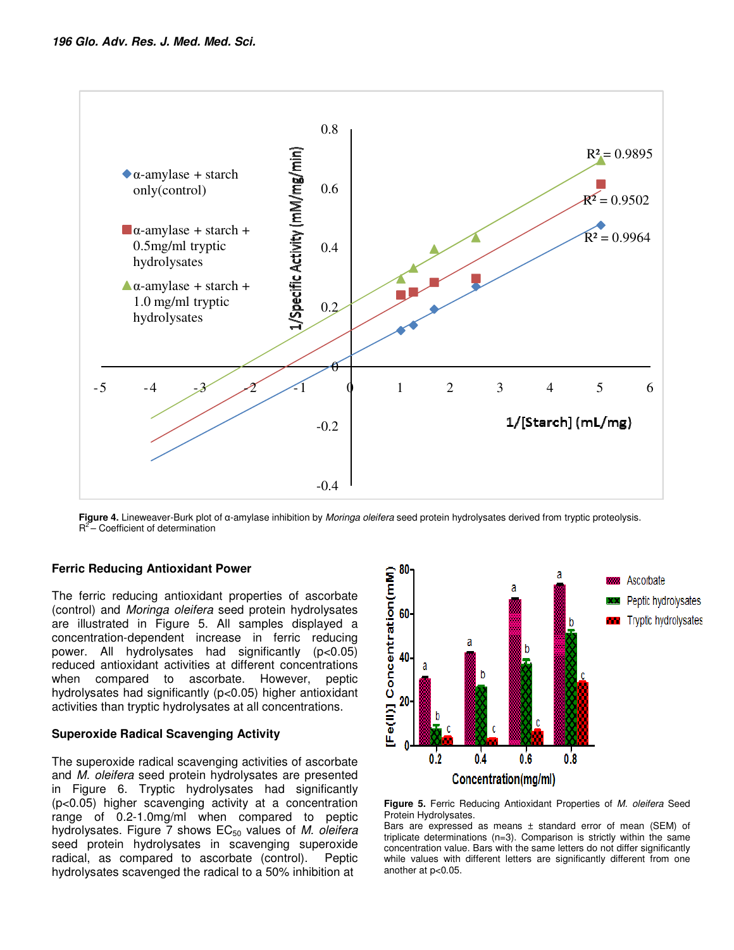

**Figure 4.** Lineweaver-Burk plot of α-amylase inhibition by *Moringa oleifera* seed protein hydrolysates derived from tryptic proteolysis.  $R^2$  – Coefficient of determination

## **Ferric Reducing Antioxidant Power**

The ferric reducing antioxidant properties of ascorbate (control) and *Moringa oleifera* seed protein hydrolysates are illustrated in Figure 5. All samples displayed a concentration-dependent increase in ferric reducing power. All hydrolysates had significantly (p<0.05) reduced antioxidant activities at different concentrations when compared to ascorbate. However, peptic hydrolysates had significantly (p<0.05) higher antioxidant activities than tryptic hydrolysates at all concentrations.

#### **Superoxide Radical Scavenging Activity**

The superoxide radical scavenging activities of ascorbate and *M. oleifera* seed protein hydrolysates are presented in Figure 6. Tryptic hydrolysates had significantly (p<0.05) higher scavenging activity at a concentration range of 0.2-1.0mg/ml when compared to peptic hydrolysates. Figure 7 shows EC<sub>50</sub> values of *M. oleifera* seed protein hydrolysates in scavenging superoxide radical, as compared to ascorbate (control). Peptic hydrolysates scavenged the radical to a 50% inhibition at



**Figure 5.** Ferric Reducing Antioxidant Properties of *M. oleifera* Seed Protein Hydrolysates.

Bars are expressed as means ± standard error of mean (SEM) of triplicate determinations (n=3). Comparison is strictly within the same concentration value. Bars with the same letters do not differ significantly while values with different letters are significantly different from one another at p<0.05.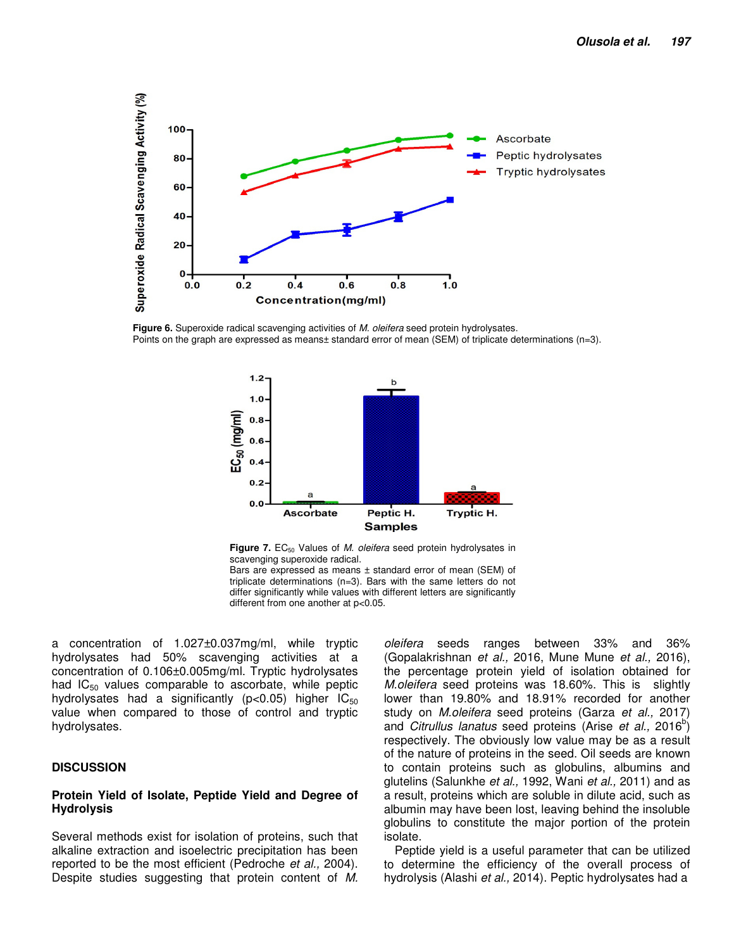

**Figure 6.** Superoxide radical scavenging activities of *M. oleifera* seed protein hydrolysates. Points on the graph are expressed as means± standard error of mean (SEM) of triplicate determinations (n=3).



Figure 7. EC<sub>50</sub> Values of *M. oleifera* seed protein hydrolysates in scavenging superoxide radical.

Bars are expressed as means  $\pm$  standard error of mean (SEM) of triplicate determinations (n=3). Bars with the same letters do not differ significantly while values with different letters are significantly different from one another at p<0.05.

a concentration of 1.027±0.037mg/ml, while tryptic hydrolysates had 50% scavenging activities at a concentration of 0.106±0.005mg/ml. Tryptic hydrolysates had  $IC_{50}$  values comparable to ascorbate, while peptic hydrolysates had a significantly ( $p < 0.05$ ) higher  $IC_{50}$ value when compared to those of control and tryptic hydrolysates.

#### **DISCUSSION**

#### **Protein Yield of Isolate, Peptide Yield and Degree of Hydrolysis**

Several methods exist for isolation of proteins, such that alkaline extraction and isoelectric precipitation has been reported to be the most efficient (Pedroche *et al.,* 2004). Despite studies suggesting that protein content of *M.*  *oleifera* seeds ranges between 33% and 36% (Gopalakrishnan *et al.,* 2016, Mune Mune *et al.,* 2016), the percentage protein yield of isolation obtained for *M.oleifera* seed proteins was 18.60%. This is slightly lower than 19.80% and 18.91% recorded for another study on *M.oleifera* seed proteins (Garza *et al.,* 2017) and *Citrullus lanatus* seed proteins (Arise *et al.,* 2016<sup>b</sup>) respectively. The obviously low value may be as a result of the nature of proteins in the seed. Oil seeds are known to contain proteins such as globulins, albumins and glutelins (Salunkhe *et al.,* 1992, Wani *et al.,* 2011) and as a result, proteins which are soluble in dilute acid, such as albumin may have been lost, leaving behind the insoluble globulins to constitute the major portion of the protein isolate.

Peptide yield is a useful parameter that can be utilized to determine the efficiency of the overall process of hydrolysis (Alashi *et al.,* 2014). Peptic hydrolysates had a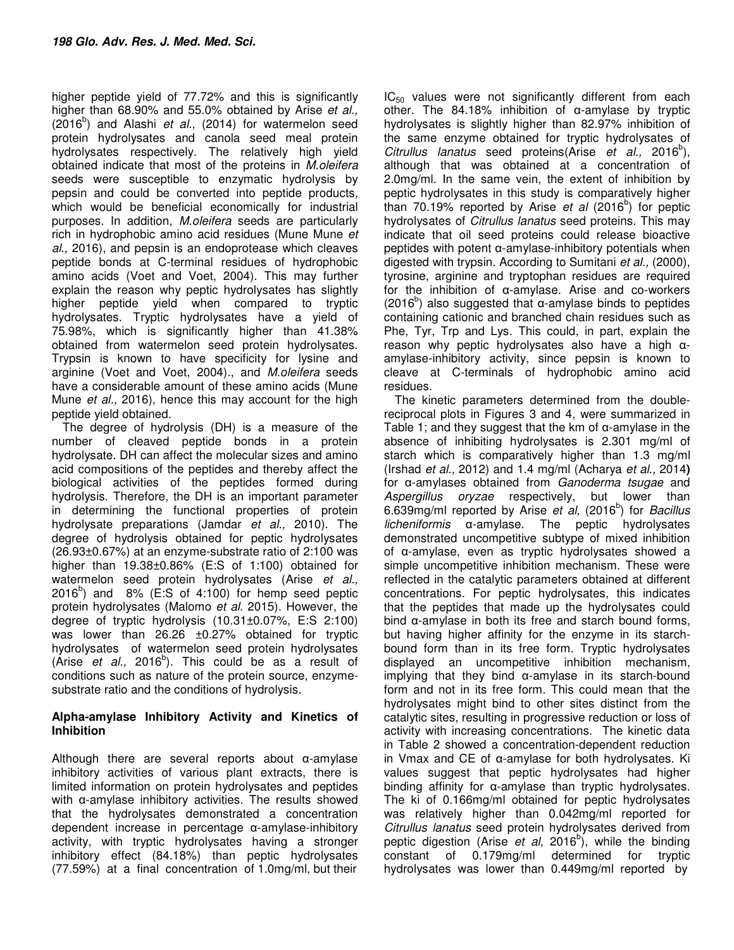higher peptide yield of 77.72% and this is significantly higher than 68.90% and 55.0% obtained by Arise *et al.,* (2016<sup>b</sup>) and Alashi et al., (2014) for watermelon seed protein hydrolysates and canola seed meal protein hydrolysates respectively. The relatively high yield obtained indicate that most of the proteins in *M.oleifera* seeds were susceptible to enzymatic hydrolysis by pepsin and could be converted into peptide products, which would be beneficial economically for industrial purposes. In addition, *M.oleifera* seeds are particularly rich in hydrophobic amino acid residues (Mune Mune *et al.,* 2016), and pepsin is an endoprotease which cleaves peptide bonds at C-terminal residues of hydrophobic amino acids (Voet and Voet, 2004). This may further explain the reason why peptic hydrolysates has slightly higher peptide yield when compared to tryptic hydrolysates. Tryptic hydrolysates have a yield of 75.98%, which is significantly higher than 41.38% obtained from watermelon seed protein hydrolysates. Trypsin is known to have specificity for lysine and arginine (Voet and Voet, 2004)., and *M.oleifera* seeds have a considerable amount of these amino acids (Mune Mune *et al.,* 2016), hence this may account for the high peptide yield obtained.

The degree of hydrolysis (DH) is a measure of the number of cleaved peptide bonds in a protein hydrolysate. DH can affect the molecular sizes and amino acid compositions of the peptides and thereby affect the biological activities of the peptides formed during hydrolysis. Therefore, the DH is an important parameter in determining the functional properties of protein hydrolysate preparations (Jamdar *et al.,* 2010). The degree of hydrolysis obtained for peptic hydrolysates (26.93±0.67%) at an enzyme-substrate ratio of 2:100 was higher than 19.38±0.86% (E:S of 1:100) obtained for watermelon seed protein hydrolysates (Arise *et al.,* 2016<sup>b</sup>) and 8% (E:S of 4:100) for hemp seed peptic protein hydrolysates (Malomo *et al.* 2015). However, the degree of tryptic hydrolysis (10.31±0.07%, E:S 2:100) was lower than 26.26 ±0.27% obtained for tryptic hydrolysates of watermelon seed protein hydrolysates (Arise *et al.,* 2016<sup>b</sup>). This could be as a result of conditions such as nature of the protein source, enzymesubstrate ratio and the conditions of hydrolysis.

## **Alpha-amylase Inhibitory Activity and Kinetics of Inhibition**

Although there are several reports about α-amylase inhibitory activities of various plant extracts, there is limited information on protein hydrolysates and peptides with α-amylase inhibitory activities. The results showed that the hydrolysates demonstrated a concentration dependent increase in percentage α-amylase-inhibitory activity, with tryptic hydrolysates having a stronger inhibitory effect (84.18%) than peptic hydrolysates (77.59%) at a final concentration of 1.0mg/ml, but their

 $IC_{50}$  values were not significantly different from each other. The 84.18% inhibition of  $\alpha$ -amylase by tryptic hydrolysates is slightly higher than 82.97% inhibition of the same enzyme obtained for tryptic hydrolysates of Citrullus lanatus seed proteins(Arise *et al.*, 2016<sup>b</sup>), although that was obtained at a concentration of 2.0mg/ml. In the same vein, the extent of inhibition by peptic hydrolysates in this study is comparatively higher than 70.19% reported by Arise *et al* (2016<sup>b</sup>) for peptic hydrolysates of *Citrullus lanatus* seed proteins. This may indicate that oil seed proteins could release bioactive peptides with potent α-amylase-inhibitory potentials when digested with trypsin. According to Sumitani *et al.,* (2000), tyrosine, arginine and tryptophan residues are required for the inhibition of α-amylase. Arise and co-workers (2016<sup>b</sup>) also suggested that  $\alpha$ -amylase binds to peptides containing cationic and branched chain residues such as Phe, Tyr, Trp and Lys. This could, in part, explain the reason why peptic hydrolysates also have a high αamylase-inhibitory activity, since pepsin is known to cleave at C-terminals of hydrophobic amino acid residues.

The kinetic parameters determined from the doublereciprocal plots in Figures 3 and 4, were summarized in Table 1; and they suggest that the km of  $\alpha$ -amylase in the absence of inhibiting hydrolysates is 2.301 mg/ml of starch which is comparatively higher than 1.3 mg/ml (Irshad *et al.,* 2012) and 1.4 mg/ml (Acharya *et al.,* 2014**)** for α-amylases obtained from *Ganoderma tsugae* and *Aspergillus oryzae* respectively, but lower than 6.639mg/ml reported by Arise et al, (2016<sup>b</sup>) for *Bacillus licheniformis* α-amylase. The peptic hydrolysates demonstrated uncompetitive subtype of mixed inhibition of α-amylase, even as tryptic hydrolysates showed a simple uncompetitive inhibition mechanism. These were reflected in the catalytic parameters obtained at different concentrations. For peptic hydrolysates, this indicates that the peptides that made up the hydrolysates could bind α-amylase in both its free and starch bound forms, but having higher affinity for the enzyme in its starchbound form than in its free form. Tryptic hydrolysates displayed an uncompetitive inhibition mechanism, implying that they bind α-amylase in its starch-bound form and not in its free form. This could mean that the hydrolysates might bind to other sites distinct from the catalytic sites, resulting in progressive reduction or loss of activity with increasing concentrations. The kinetic data in Table 2 showed a concentration-dependent reduction in Vmax and CE of α-amylase for both hydrolysates. Ki values suggest that peptic hydrolysates had higher binding affinity for α-amylase than tryptic hydrolysates. The ki of 0.166mg/ml obtained for peptic hydrolysates was relatively higher than 0.042mg/ml reported for *Citrullus lanatus* seed protein hydrolysates derived from peptic digestion (Arise *et al,* 2016<sup>b</sup>), while the binding constant of 0.179mg/ml determined for tryptic hydrolysates was lower than 0.449mg/ml reported by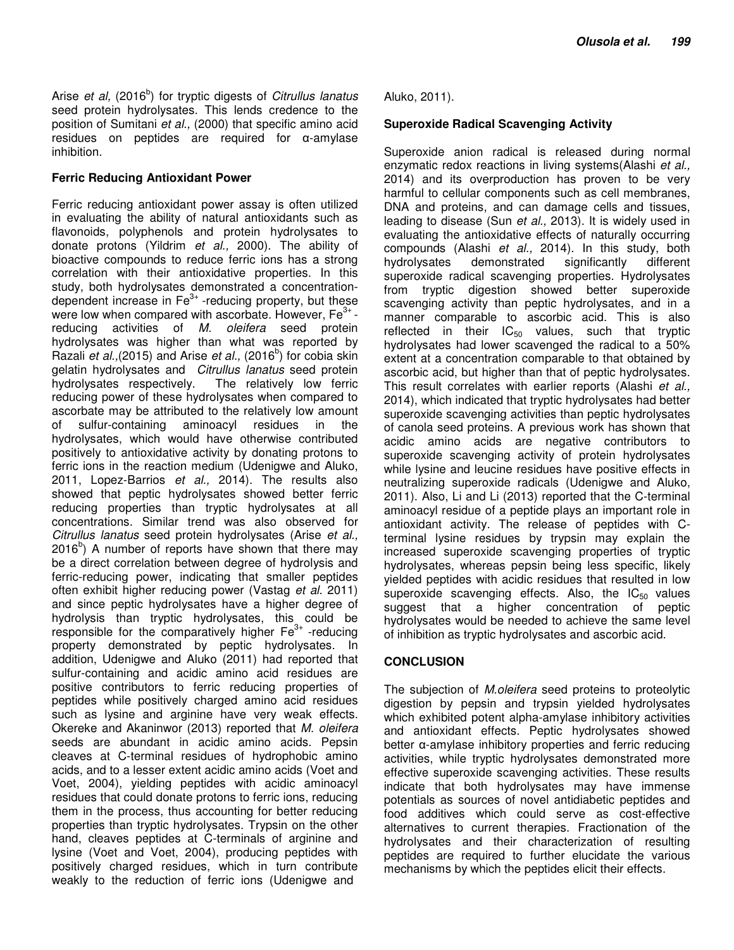Arise *et al,* (2016<sup>b</sup>) for tryptic digests of *Citrullus lanatus* seed protein hydrolysates. This lends credence to the position of Sumitani *et al.,* (2000) that specific amino acid residues on peptides are required for α-amylase inhibition.

## **Ferric Reducing Antioxidant Power**

Ferric reducing antioxidant power assay is often utilized in evaluating the ability of natural antioxidants such as flavonoids, polyphenols and protein hydrolysates to donate protons (Yildrim *et al.,* 2000). The ability of bioactive compounds to reduce ferric ions has a strong correlation with their antioxidative properties. In this study, both hydrolysates demonstrated a concentrationdependent increase in  $Fe<sup>3+</sup>$ -reducing property, but these were low when compared with ascorbate. However, Fe<sup>3+</sup> reducing activities of *M. oleifera* seed protein hydrolysates was higher than what was reported by Razali *et al.*, (2015) and Arise *et al.*, (2016<sup>b</sup>) for cobia skin gelatin hydrolysates and *Citrullus lanatus* seed protein hydrolysates respectively. The relatively low ferric reducing power of these hydrolysates when compared to ascorbate may be attributed to the relatively low amount of sulfur-containing aminoacyl residues in the hydrolysates, which would have otherwise contributed positively to antioxidative activity by donating protons to ferric ions in the reaction medium (Udenigwe and Aluko, 2011, Lopez-Barrios *et al.,* 2014). The results also showed that peptic hydrolysates showed better ferric reducing properties than tryptic hydrolysates at all concentrations. Similar trend was also observed for *Citrullus lanatus* seed protein hydrolysates (Arise *et al.,*  $2016<sup>b</sup>$ ) A number of reports have shown that there may be a direct correlation between degree of hydrolysis and ferric-reducing power, indicating that smaller peptides often exhibit higher reducing power (Vastag *et al.* 2011) and since peptic hydrolysates have a higher degree of hydrolysis than tryptic hydrolysates, this could be responsible for the comparatively higher  $Fe<sup>3+</sup>$ -reducing property demonstrated by peptic hydrolysates. In addition, Udenigwe and Aluko (2011) had reported that sulfur-containing and acidic amino acid residues are positive contributors to ferric reducing properties of peptides while positively charged amino acid residues such as lysine and arginine have very weak effects. Okereke and Akaninwor (2013) reported that *M. oleifera* seeds are abundant in acidic amino acids. Pepsin cleaves at C-terminal residues of hydrophobic amino acids, and to a lesser extent acidic amino acids (Voet and Voet, 2004), yielding peptides with acidic aminoacyl residues that could donate protons to ferric ions, reducing them in the process, thus accounting for better reducing properties than tryptic hydrolysates. Trypsin on the other hand, cleaves peptides at C-terminals of arginine and lysine (Voet and Voet, 2004), producing peptides with positively charged residues, which in turn contribute weakly to the reduction of ferric ions (Udenigwe and

Aluko, 2011).

## **Superoxide Radical Scavenging Activity**

Superoxide anion radical is released during normal enzymatic redox reactions in living systems(Alashi *et al.,* 2014) and its overproduction has proven to be very harmful to cellular components such as cell membranes, DNA and proteins, and can damage cells and tissues, leading to disease (Sun *et al.,* 2013). It is widely used in evaluating the antioxidative effects of naturally occurring compounds (Alashi *et al.,* 2014). In this study, both hydrolysates demonstrated significantly different superoxide radical scavenging properties. Hydrolysates from tryptic digestion showed better superoxide scavenging activity than peptic hydrolysates, and in a manner comparable to ascorbic acid. This is also reflected in their  $IC_{50}$  values, such that tryptic hydrolysates had lower scavenged the radical to a 50% extent at a concentration comparable to that obtained by ascorbic acid, but higher than that of peptic hydrolysates. This result correlates with earlier reports (Alashi *et al.,* 2014), which indicated that tryptic hydrolysates had better superoxide scavenging activities than peptic hydrolysates of canola seed proteins. A previous work has shown that acidic amino acids are negative contributors to superoxide scavenging activity of protein hydrolysates while lysine and leucine residues have positive effects in neutralizing superoxide radicals (Udenigwe and Aluko, 2011). Also, Li and Li (2013) reported that the C-terminal aminoacyl residue of a peptide plays an important role in antioxidant activity. The release of peptides with Cterminal lysine residues by trypsin may explain the increased superoxide scavenging properties of tryptic hydrolysates, whereas pepsin being less specific, likely yielded peptides with acidic residues that resulted in low superoxide scavenging effects. Also, the  $IC_{50}$  values suggest that a higher concentration of peptic hydrolysates would be needed to achieve the same level of inhibition as tryptic hydrolysates and ascorbic acid.

## **CONCLUSION**

The subjection of *M.oleifera* seed proteins to proteolytic digestion by pepsin and trypsin yielded hydrolysates which exhibited potent alpha-amylase inhibitory activities and antioxidant effects. Peptic hydrolysates showed better α-amylase inhibitory properties and ferric reducing activities, while tryptic hydrolysates demonstrated more effective superoxide scavenging activities. These results indicate that both hydrolysates may have immense potentials as sources of novel antidiabetic peptides and food additives which could serve as cost-effective alternatives to current therapies. Fractionation of the hydrolysates and their characterization of resulting peptides are required to further elucidate the various mechanisms by which the peptides elicit their effects.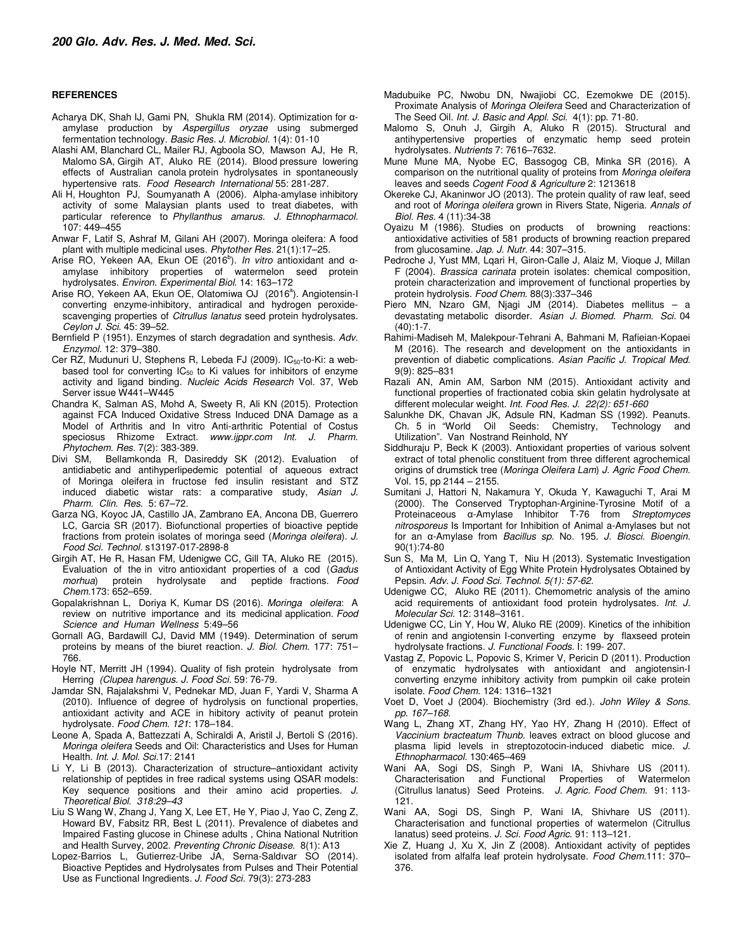#### **REFERENCES**

- Acharya DK, Shah IJ, Gami PN, Shukla RM (2014). Optimization for αamylase production by *Aspergillus oryzae* using submerged fermentation technology. *Basic Res. J. Microbiol.* 1(4): 01-10
- Alashi AM, Blanchard CL, Mailer RJ, Agboola SO, Mawson AJ, He R, Malomo SA, Girgih AT, Aluko RE (2014). Blood pressure lowering effects of Australian canola protein hydrolysates in spontaneously hypertensive rats. *Food Research International* 55: 281-287.
- Ali H, Houghton PJ, Soumyanath A (2006). Alpha-amylase inhibitory activity of some Malaysian plants used to treat diabetes, with particular reference to *Phyllanthus amarus*. *J. Ethnopharmacol.*  107: 449–455
- Anwar F, Latif S, Ashraf M, Gilani AH (2007). Moringa oleifera: A food plant with multiple medicinal uses. *Phytother Res.* 21(1):17–25.
- Arise RO, Yekeen AA, Ekun OE (2016<sup>b</sup>). *In vitro* antioxidant and αamylase inhibitory properties of watermelon seed protein hydrolysates. *Environ. Experimental Biol.* 14: 163–172
- Arise RO, Yekeen AA, Ekun OE, Olatomiwa OJ (2016<sup>a</sup>). Angiotensin-I converting enzyme-inhibitory, antiradical and hydrogen peroxidescavenging properties of *Citrullus lanatus* seed protein hydrolysates. *Ceylon J. Sci*. 45: 39–52.
- Bernfield P (1951). Enzymes of starch degradation and synthesis. *Adv. Enzymol.* 12: 379–380.
- Cer RZ, Mudunuri U, Stephens R, Lebeda FJ (2009). IC<sub>50</sub>-to-Ki: a webbased tool for converting  $IC_{50}$  to Ki values for inhibitors of enzyme activity and ligand binding. *Nucleic Acids Research* Vol. 37, Web Server issue W441–W445
- Chandra K, Salman AS, Mohd A, Sweety R, Ali KN (2015). Protection against FCA Induced Oxidative Stress Induced DNA Damage as a Model of Arthritis and In vitro Anti-arthritic Potential of Costus speciosus Rhizome Extract. *www.ijppr.com Int. J. Pharm. Phytochem. Res.* 7(2): 383-389.
- Divi SM, Bellamkonda R, Dasireddy SK (2012). Evaluation of antidiabetic and antihyperlipedemic potential of aqueous extract of Moringa oleifera in fructose fed insulin resistant and STZ induced diabetic wistar rats: a comparative study, *Asian J. Pharm. Clin. Res.* 5: 67–72.
- Garza NG, Koyoc JA, Castillo JA, Zambrano EA, Ancona DB, Guerrero LC, Garcia SR (2017). Biofunctional properties of bioactive peptide fractions from protein isolates of moringa seed (*Moringa oleifera*). *J. Food Sci. Technol.* s13197-017-2898-8
- Girgih AT, He R, Hasan FM, Udenigwe CC, Gill TA, Aluko RE (2015). Evaluation of the in vitro antioxidant properties of a cod (*Gadus morhua*) protein hydrolysate and peptide fractions. *Food Chem.*173: 652–659.
- Gopalakrishnan L, Doriya K, Kumar DS (2016). *Moringa oleifera*: A review on nutritive importance and its medicinal application. *Food Science and Human Wellness* 5:49–56
- Gornall AG, Bardawill CJ, David MM (1949). Determination of serum proteins by means of the biuret reaction. *J. Biol. Chem.* 177: 751– 766.
- Hoyle NT, Merritt JH (1994). Quality of fish protein hydrolysate from Herring *(Clupea harengus*. *J. Food Sci.* 59: 76-79.
- Jamdar SN, Rajalakshmi V, Pednekar MD, Juan F, Yardi V, Sharma A (2010). Influence of degree of hydrolysis on functional properties, antioxidant activity and ACE in hibitory activity of peanut protein hydrolysate. *Food Chem. 121*: 178–184.
- Leone A, Spada A, Battezzati A, Schiraldi A, Aristil J, Bertoli S (2016). *Moringa oleifera* Seeds and Oil: Characteristics and Uses for Human Health. *Int. J. Mol. Sci.*17: 2141
- Li Y, Li B (2013). Characterization of structure–antioxidant activity relationship of peptides in free radical systems using QSAR models: Key sequence positions and their amino acid properties. *J. Theoretical Biol. 318:29–43*
- Liu S Wang W, Zhang J, Yang X, Lee ET, He Y, Piao J, Yao C, Zeng Z, Howard BV, Fabsitz RR, Best L (2011). Prevalence of diabetes and Impaired Fasting glucose in Chinese adults , China National Nutrition and Health Survey, 2002. *Preventing Chronic Disease.* 8(1): A13
- Lopez-Barrios L, Gutierrez-Uribe JA, Serna-Saldıvar SO (2014). Bioactive Peptides and Hydrolysates from Pulses and Their Potential Use as Functional Ingredients. *J. Food Sci.* 79(3): 273-283
- Madubuike PC, Nwobu DN, Nwajiobi CC, Ezemokwe DE (2015). Proximate Analysis of *Moringa Oleifera* Seed and Characterization of The Seed Oil. *Int. J. Basic and Appl. Sci.* 4(1): pp. 71-80.
- Malomo S, Onuh J, Girgih A, Aluko R (2015). Structural and antihypertensive properties of enzymatic hemp seed protein hydrolysates. *Nutrients* 7: 7616–7632.
- Mune Mune MA, Nyobe EC, Bassogog CB, Minka SR (2016). A comparison on the nutritional quality of proteins from *Moringa oleifera*  leaves and seeds *Cogent Food & Agriculture* 2: 1213618
- Okereke CJ, Akaninwor JO (2013). The protein quality of raw leaf, seed and root of *Moringa oleifera* grown in Rivers State, Nigeria. *Annals of Biol. Res.* 4 (11):34-38
- Oyaizu M (1986). Studies on products of browning reactions: antioxidative activities of 581 products of browning reaction prepared from glucosamine. *Jap. J. Nutr.* 44: 307–315.
- Pedroche J, Yust MM, Lqari H, Giron-Calle J, Alaiz M, Vioque J, Millan F (2004). *Brassica carinata* protein isolates: chemical composition, protein characterization and improvement of functional properties by protein hydrolysis. *Food Chem.* 88(3):337–346
- Piero MN, Nzaro GM, Njagi JM (2014). Diabetes mellitus a devastating metabolic disorder. *Asian J. Biomed. Pharm. Sci.* 04  $(40):1 - 7$ .
- Rahimi-Madiseh M, Malekpour-Tehrani A, Bahmani M, Rafieian-Kopaei M (2016). The research and development on the antioxidants in prevention of diabetic complications. *Asian Pacific J. Tropical Med.*  9(9): 825–831
- Razali AN, Amin AM, Sarbon NM (2015). Antioxidant activity and functional properties of fractionated cobia skin gelatin hydrolysate at different molecular weight. *Int. Food Res. J. 22(2): 651-660*
- Salunkhe DK, Chavan JK, Adsule RN, Kadman SS (1992). Peanuts.<br>Ch. 5 in "World Oil Seeds: Chemistry, Technology and Seeds: Chemistry, Technology and Utilization". Van Nostrand Reinhold, NY
- Siddhuraju P, Beck K (2003). Antioxidant properties of various solvent extract of total phenolic constituent from three different agrochemical origins of drumstick tree (*Moringa Oleifera Lam*) *J. Agric Food Chem.* Vol. 15, pp 2144 – 2155.
- Sumitani J, Hattori N, Nakamura Y, Okuda Y, Kawaguchi T, Arai M (2000). The Conserved Tryptophan-Arginine-Tyrosine Motif of a Proteinaceous α-Amylase Inhibitor T-76 from *Streptomyces nitrosporeus* Is Important for Inhibition of Animal a-Amylases but not for an α-Amylase from *Bacillus sp*. No. 195. *J. Biosci. Bioengin.*  90(1):74-80
- Sun S, Ma M, Lin Q, Yang T, Niu H (2013). Systematic Investigation of Antioxidant Activity of Egg White Protein Hydrolysates Obtained by Pepsin. *Adv. J. Food Sci. Technol. 5(1): 57-62.*
- Udenigwe CC, Aluko RE (2011). Chemometric analysis of the amino acid requirements of antioxidant food protein hydrolysates. *Int. J. Molecular Sci.* 12: 3148–3161.
- Udenigwe CC, Lin Y, Hou W, Aluko RE (2009). Kinetics of the inhibition of renin and angiotensin I-converting enzyme by flaxseed protein hydrolysate fractions. *J. Functional Foods.* I: 199- 207.
- Vastag Z, Popovic L, Popovic S, Krimer V, Pericin D (2011). Production of enzymatic hydrolysates with antioxidant and angiotensin-I converting enzyme inhibitory activity from pumpkin oil cake protein isolate. *Food Chem.* 124: 1316–1321
- Voet D, Voet J (2004). Biochemistry (3rd ed.). *John Wiley & Sons. pp. 167–168.*
- Wang L, Zhang XT, Zhang HY, Yao HY, Zhang H (2010). Effect of *Vaccinium bracteatum Thunb.* leaves extract on blood glucose and plasma lipid levels in streptozotocin-induced diabetic mice. *J. Ethnopharmacol.* 130:465–469
- Wani AA, Sogi DS, Singh P, Wani IA, Shivhare US (2011). Characterisation and Functional Properties of Watermelon (Citrullus lanatus) Seed Proteins. *J. Agric. Food Chem.* 91: 113- 121.
- Wani AA, Sogi DS, Singh P, Wani IA, Shivhare US (2011). Characterisation and functional properties of watermelon (Citrullus lanatus) seed proteins. *J. Sci. Food Agric*. 91: 113–121.
- Xie Z, Huang J, Xu X, Jin Z (2008). Antioxidant activity of peptides isolated from alfalfa leaf protein hydrolysate. *Food Chem.*111: 370– 376.